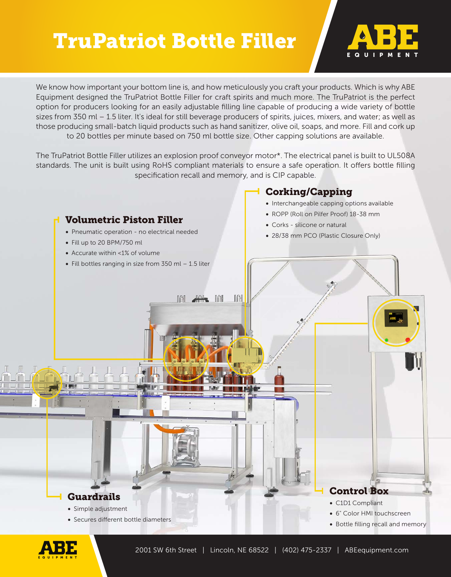# TruPatriot Bottle Filler



We know how important your bottom line is, and how meticulously you craft your products. Which is why ABE Equipment designed the TruPatriot Bottle Filler for craft spirits and much more. The TruPatriot is the perfect option for producers looking for an easily adjustable filling line capable of producing a wide variety of bottle sizes from 350 ml – 1.5 liter. It's ideal for still beverage producers of spirits, juices, mixers, and water; as well as those producing small-batch liquid products such as hand sanitizer, olive oil, soaps, and more. Fill and cork up to 20 bottles per minute based on 750 ml bottle size. Other capping solutions are available.

The TruPatriot Bottle Filler utilizes an explosion proof conveyor motor\*. The electrical panel is built to UL508A standards. The unit is built using RoHS compliant materials to ensure a safe operation. It offers bottle filling specification recall and memory, and is CIP capable.



EQUIPMENT